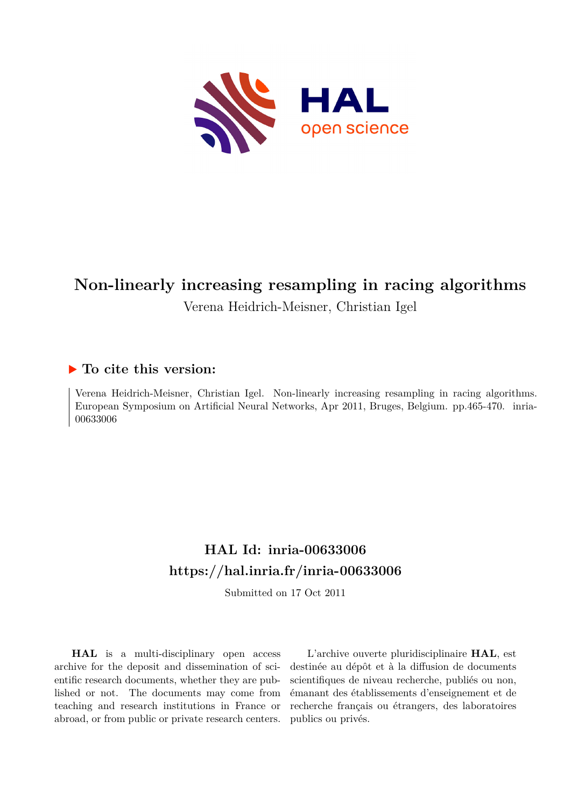

# **Non-linearly increasing resampling in racing algorithms** Verena Heidrich-Meisner, Christian Igel

# **To cite this version:**

Verena Heidrich-Meisner, Christian Igel. Non-linearly increasing resampling in racing algorithms. European Symposium on Artificial Neural Networks, Apr 2011, Bruges, Belgium. pp.465-470. inria-00633006

# **HAL Id: inria-00633006 <https://hal.inria.fr/inria-00633006>**

Submitted on 17 Oct 2011

**HAL** is a multi-disciplinary open access archive for the deposit and dissemination of scientific research documents, whether they are published or not. The documents may come from teaching and research institutions in France or abroad, or from public or private research centers.

L'archive ouverte pluridisciplinaire **HAL**, est destinée au dépôt et à la diffusion de documents scientifiques de niveau recherche, publiés ou non, émanant des établissements d'enseignement et de recherche français ou étrangers, des laboratoires publics ou privés.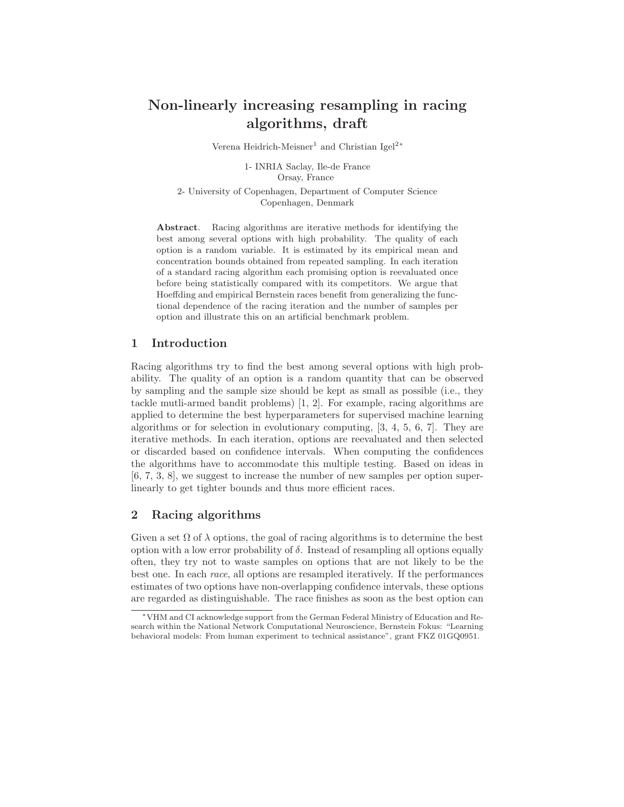# Non-linearly increasing resampling in racing algorithms, draft

Verena Heidrich-Meisner<sup>1</sup> and Christian Igel<sup>2</sup><sup>∗</sup>

1- INRIA Saclay, Ile-de France Orsay, France

2- University of Copenhagen, Department of Computer Science Copenhagen, Denmark

Abstract. Racing algorithms are iterative methods for identifying the best among several options with high probability. The quality of each option is a random variable. It is estimated by its empirical mean and concentration bounds obtained from repeated sampling. In each iteration of a standard racing algorithm each promising option is reevaluated once before being statistically compared with its competitors. We argue that Hoeffding and empirical Bernstein races benefit from generalizing the functional dependence of the racing iteration and the number of samples per option and illustrate this on an artificial benchmark problem.

# 1 Introduction

Racing algorithms try to find the best among several options with high probability. The quality of an option is a random quantity that can be observed by sampling and the sample size should be kept as small as possible (i.e., they tackle mutli-armed bandit problems) [1, 2]. For example, racing algorithms are applied to determine the best hyperparameters for supervised machine learning algorithms or for selection in evolutionary computing, [3, 4, 5, 6, 7]. They are iterative methods. In each iteration, options are reevaluated and then selected or discarded based on confidence intervals. When computing the confidences the algorithms have to accommodate this multiple testing. Based on ideas in [6, 7, 3, 8], we suggest to increase the number of new samples per option superlinearly to get tighter bounds and thus more efficient races.

# 2 Racing algorithms

Given a set  $\Omega$  of  $\lambda$  options, the goal of racing algorithms is to determine the best option with a low error probability of  $\delta$ . Instead of resampling all options equally often, they try not to waste samples on options that are not likely to be the best one. In each race, all options are resampled iteratively. If the performances estimates of two options have non-overlapping confidence intervals, these options are regarded as distinguishable. The race finishes as soon as the best option can

<sup>∗</sup>VHM and CI acknowledge support from the German Federal Ministry of Education and Research within the National Network Computational Neuroscience, Bernstein Fokus: "Learning behavioral models: From human experiment to technical assistance", grant FKZ 01GQ0951.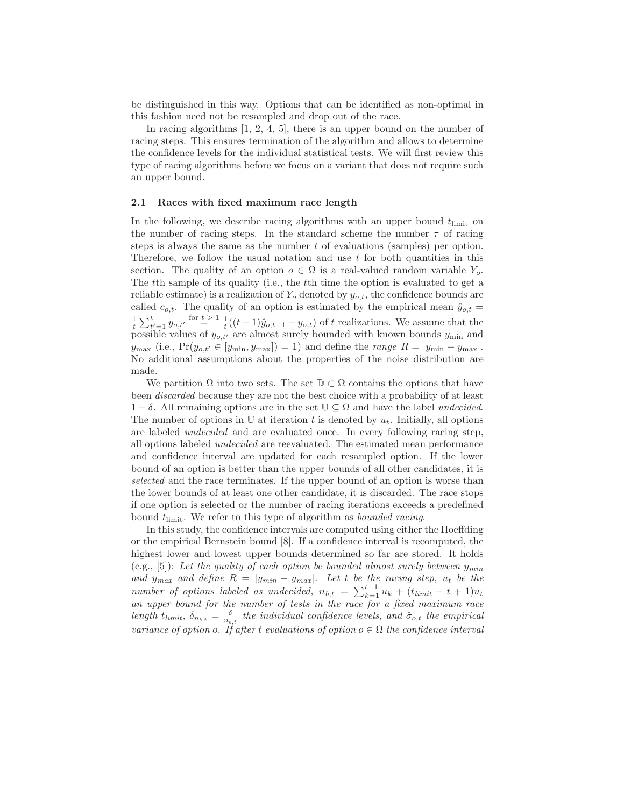be distinguished in this way. Options that can be identified as non-optimal in this fashion need not be resampled and drop out of the race.

In racing algorithms [1, 2, 4, 5], there is an upper bound on the number of racing steps. This ensures termination of the algorithm and allows to determine the confidence levels for the individual statistical tests. We will first review this type of racing algorithms before we focus on a variant that does not require such an upper bound.

#### 2.1 Races with fixed maximum race length

In the following, we describe racing algorithms with an upper bound  $t_{\text{limit}}$  on the number of racing steps. In the standard scheme the number  $\tau$  of racing steps is always the same as the number t of evaluations (samples) per option. Therefore, we follow the usual notation and use  $t$  for both quantities in this section. The quality of an option  $o \in \Omega$  is a real-valued random variable  $Y_o$ . The tth sample of its quality (i.e., the tth time the option is evaluated to get a reliable estimate) is a realization of  $Y_o$  denoted by  $y_{o,t}$ , the confidence bounds are called  $c_{o,t}$ . The quality of an option is estimated by the empirical mean  $\hat{y}_{o,t}$  =  $\frac{1}{t}\sum_{t'=1}^t y_{o,t'}$  for  $\frac{t}{t} > 1$   $\frac{1}{t}((t-1)\hat{y}_{o,t-1} + y_{o,t})$  of t realizations. We assume that the possible values of  $y_{o,t'}$  are almost surely bounded with known bounds  $y_{\min}$  and  $y_{\text{max}}$  (i.e.,  $Pr(y_{o,t'} \in [y_{\text{min}}, y_{\text{max}}]) = 1$ ) and define the *range*  $R = |y_{\text{min}} - y_{\text{max}}|$ . No additional assumptions about the properties of the noise distribution are made.

We partition  $\Omega$  into two sets. The set  $\mathbb{D} \subset \Omega$  contains the options that have been discarded because they are not the best choice with a probability of at least  $1 - \delta$ . All remaining options are in the set  $\mathbb{U} \subseteq \Omega$  and have the label undecided. The number of options in  $\mathbb U$  at iteration t is denoted by  $u_t$ . Initially, all options are labeled undecided and are evaluated once. In every following racing step, all options labeled undecided are reevaluated. The estimated mean performance and confidence interval are updated for each resampled option. If the lower bound of an option is better than the upper bounds of all other candidates, it is selected and the race terminates. If the upper bound of an option is worse than the lower bounds of at least one other candidate, it is discarded. The race stops if one option is selected or the number of racing iterations exceeds a predefined bound  $t_{\text{limit}}$ . We refer to this type of algorithm as *bounded racing*.

In this study, the confidence intervals are computed using either the Hoeffding or the empirical Bernstein bound [8]. If a confidence interval is recomputed, the highest lower and lowest upper bounds determined so far are stored. It holds (e.g., [5]): Let the quality of each option be bounded almost surely between  $y_{min}$ and  $y_{max}$  and define  $R = |y_{min} - y_{max}|$ . Let t be the racing step,  $u_t$  be the number of options labeled as undecided,  $n_{b,t} = \sum_{k=1}^{t-1} u_k + (t_{limit} - t + 1)u_t$ an upper bound for the number of tests in the race for a fixed maximum race length  $t_{limit}$ ,  $\delta_{n_{b,t}} = \frac{\delta}{n_{b,t}}$  the individual confidence levels, and  $\hat{\sigma}_{o,t}$  the empirical variance of option o. If after t evaluations of option  $o \in \Omega$  the confidence interval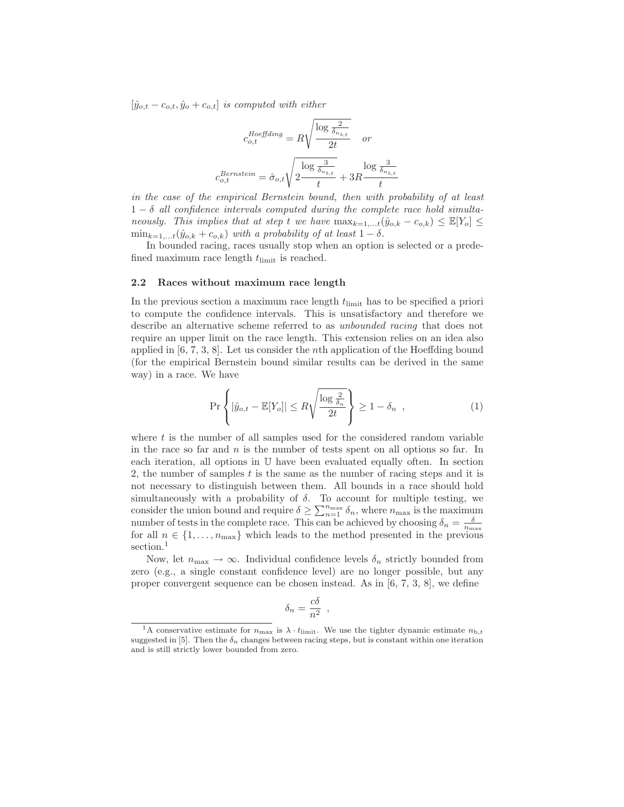$[\hat{y}_{o,t} - c_{o,t}, \hat{y}_{o} + c_{o,t}]$  is computed with either

$$
c_{o,t}^{Hoeffding} = R \sqrt{\frac{\log \frac{2}{\delta_{n_{b,t}}}}{2t}} \quad or
$$

$$
c_{o,t}^{Bernstein} = \hat{\sigma}_{o,t} \sqrt{2 \frac{\log \frac{3}{\delta_{n_{b,t}}}}{t}} + 3R \frac{\log \frac{3}{\delta_{n_{b,t}}}}{t}
$$

in the case of the empirical Bernstein bound, then with probability of at least  $1 - \delta$  all confidence intervals computed during the complete race hold simultaneously. This implies that at step t we have  $\max_{k=1,...t} (\hat{y}_{o,k} - c_{o,k}) \leq \mathbb{E}[Y_o] \leq$  $\min_{k=1,...t}(\hat{y}_{o,k}+c_{o,k})$  with a probability of at least  $1-\delta$ .

In bounded racing, races usually stop when an option is selected or a predefined maximum race length  $t_{\text{limit}}$  is reached.

#### 2.2 Races without maximum race length

In the previous section a maximum race length  $t_{\text{limit}}$  has to be specified a priori to compute the confidence intervals. This is unsatisfactory and therefore we describe an alternative scheme referred to as unbounded racing that does not require an upper limit on the race length. This extension relies on an idea also applied in [6, 7, 3, 8]. Let us consider the nth application of the Hoeffding bound (for the empirical Bernstein bound similar results can be derived in the same way) in a race. We have

$$
\Pr\left\{|\hat{y}_{o,t} - \mathbb{E}[Y_o]| \le R\sqrt{\frac{\log\frac{2}{\delta_n}}{2t}}\right\} \ge 1 - \delta_n \quad , \tag{1}
$$

where  $t$  is the number of all samples used for the considered random variable in the race so far and  $n$  is the number of tests spent on all options so far. In each iteration, all options in U have been evaluated equally often. In section 2, the number of samples  $t$  is the same as the number of racing steps and it is not necessary to distinguish between them. All bounds in a race should hold simultaneously with a probability of  $\delta$ . To account for multiple testing, we consider the union bound and require  $\delta \geq \sum_{n=1}^{n_{\text{max}}} \delta_n$ , where  $n_{\text{max}}$  is the maximum number of tests in the complete race. This can be achieved by choosing  $\delta_n = \frac{\delta}{n_{\max}}$ for all  $n \in \{1, \ldots, n_{\text{max}}\}$  which leads to the method presented in the previous section.<sup>1</sup>

Now, let  $n_{\text{max}} \to \infty$ . Individual confidence levels  $\delta_n$  strictly bounded from zero (e.g., a single constant confidence level) are no longer possible, but any proper convergent sequence can be chosen instead. As in [6, 7, 3, 8], we define

$$
\delta_n = \frac{c\delta}{n^2} \ ,
$$

<sup>&</sup>lt;sup>1</sup>A conservative estimate for  $n_{\text{max}}$  is  $\lambda \cdot t_{\text{limit}}$ . We use the tighter dynamic estimate  $n_{\text{b},t}$ suggested in [5]. Then the  $\delta_n$  changes between racing steps, but is constant within one iteration and is still strictly lower bounded from zero.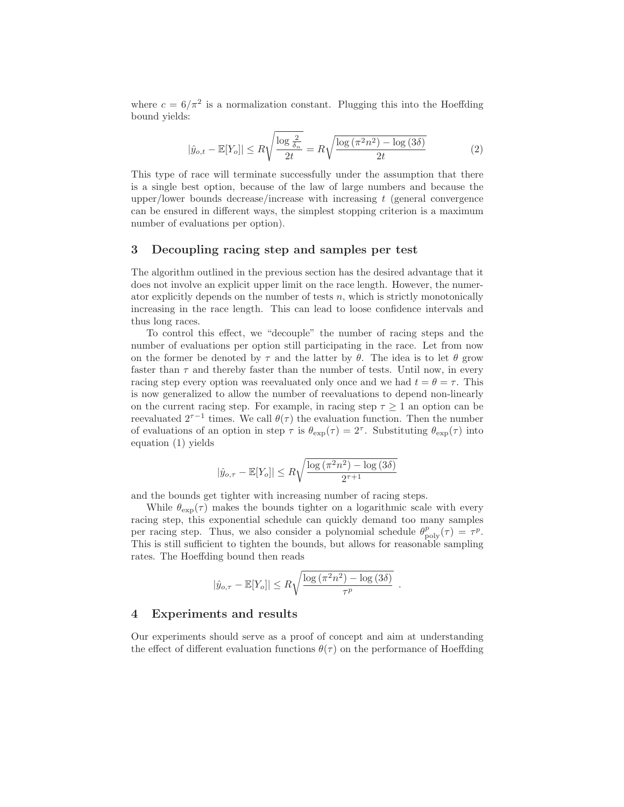where  $c = 6/\pi^2$  is a normalization constant. Plugging this into the Hoeffding bound yields:

$$
|\hat{y}_{o,t} - \mathbb{E}[Y_o]| \le R\sqrt{\frac{\log \frac{2}{\delta_n}}{2t}} = R\sqrt{\frac{\log \left(\pi^2 n^2\right) - \log \left(3\delta\right)}{2t}}\tag{2}
$$

This type of race will terminate successfully under the assumption that there is a single best option, because of the law of large numbers and because the upper/lower bounds decrease/increase with increasing  $t$  (general convergence can be ensured in different ways, the simplest stopping criterion is a maximum number of evaluations per option).

## 3 Decoupling racing step and samples per test

The algorithm outlined in the previous section has the desired advantage that it does not involve an explicit upper limit on the race length. However, the numerator explicitly depends on the number of tests  $n$ , which is strictly monotonically increasing in the race length. This can lead to loose confidence intervals and thus long races.

To control this effect, we "decouple" the number of racing steps and the number of evaluations per option still participating in the race. Let from now on the former be denoted by  $\tau$  and the latter by  $\theta$ . The idea is to let  $\theta$  grow faster than  $\tau$  and thereby faster than the number of tests. Until now, in every racing step every option was reevaluated only once and we had  $t = \theta = \tau$ . This is now generalized to allow the number of reevaluations to depend non-linearly on the current racing step. For example, in racing step  $\tau \geq 1$  an option can be reevaluated  $2^{\tau-1}$  times. We call  $\theta(\tau)$  the evaluation function. Then the number of evaluations of an option in step  $\tau$  is  $\theta_{\exp}(\tau) = 2^{\tau}$ . Substituting  $\theta_{\exp}(\tau)$  into equation (1) yields

$$
|\hat{y}_{o,\tau} - \mathbb{E}[Y_o]| \le R \sqrt{\frac{\log(\pi^2 n^2) - \log(3\delta)}{2^{\tau+1}}}
$$

and the bounds get tighter with increasing number of racing steps.

While  $\theta_{\rm exp}(\tau)$  makes the bounds tighter on a logarithmic scale with every racing step, this exponential schedule can quickly demand too many samples per racing step. Thus, we also consider a polynomial schedule  $\theta_{\text{poly}}^p(\tau) = \tau^p$ . This is still sufficient to tighten the bounds, but allows for reasonable sampling rates. The Hoeffding bound then reads

$$
|\hat{y}_{o,\tau} - \mathbb{E}[Y_o]| \leq R \sqrt{\frac{\log{(\pi^2 n^2)} - \log{(3\delta)}}{\tau^p}}.
$$

### 4 Experiments and results

Our experiments should serve as a proof of concept and aim at understanding the effect of different evaluation functions  $\theta(\tau)$  on the performance of Hoeffding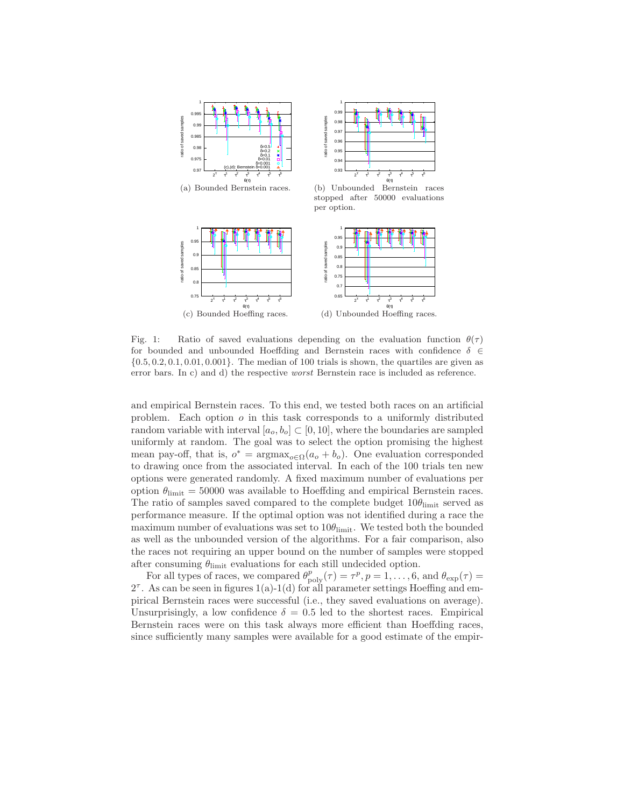

Fig. 1: Ratio of saved evaluations depending on the evaluation function  $\theta(\tau)$ for bounded and unbounded Hoeffding and Bernstein races with confidence  $\delta \in$  $\{0.5, 0.2, 0.1, 0.01, 0.001\}$ . The median of 100 trials is shown, the quartiles are given as error bars. In c) and d) the respective worst Bernstein race is included as reference.

and empirical Bernstein races. To this end, we tested both races on an artificial problem. Each option  $o$  in this task corresponds to a uniformly distributed random variable with interval  $[a_o, b_o] \subset [0, 10]$ , where the boundaries are sampled uniformly at random. The goal was to select the option promising the highest mean pay-off, that is,  $o^* = \text{argmax}_{o \in \Omega}(a_o + b_o)$ . One evaluation corresponded to drawing once from the associated interval. In each of the 100 trials ten new options were generated randomly. A fixed maximum number of evaluations per option  $\theta_{\text{limit}} = 50000$  was available to Hoeffding and empirical Bernstein races. The ratio of samples saved compared to the complete budget  $10\theta_{\text{limit}}$  served as performance measure. If the optimal option was not identified during a race the maximum number of evaluations was set to  $10\theta_{\text{limit}}$ . We tested both the bounded as well as the unbounded version of the algorithms. For a fair comparison, also the races not requiring an upper bound on the number of samples were stopped after consuming  $\theta_{\rm limit}$  evaluations for each still undecided option.

For all types of races, we compared  $\theta_{\text{poly}}^p(\tau) = \tau^p, p = 1, \ldots, 6$ , and  $\theta_{\text{exp}}(\tau) =$  $2^{\tau}$ . As can be seen in figures 1(a)-1(d) for all parameter settings Hoeffing and empirical Bernstein races were successful (i.e., they saved evaluations on average). Unsurprisingly, a low confidence  $\delta = 0.5$  led to the shortest races. Empirical Bernstein races were on this task always more efficient than Hoeffding races, since sufficiently many samples were available for a good estimate of the empir-